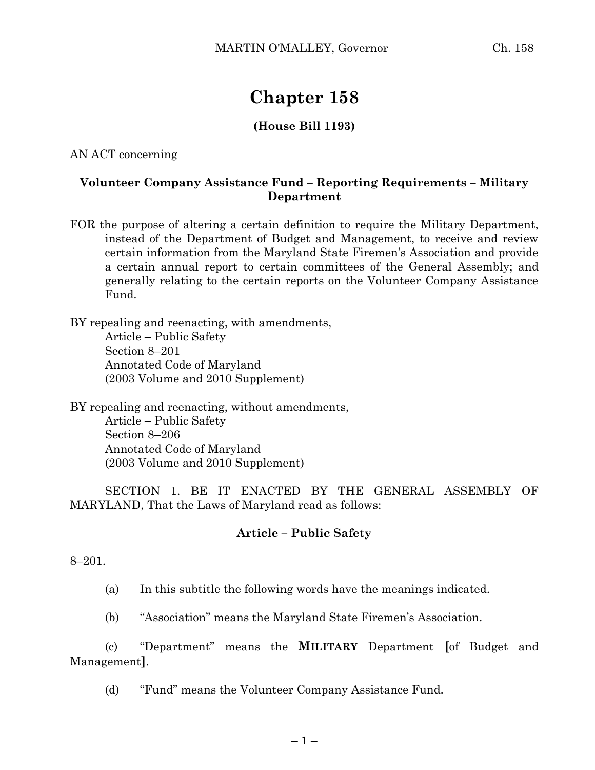# **Chapter 158**

## **(House Bill 1193)**

AN ACT concerning

#### **Volunteer Company Assistance Fund – Reporting Requirements – Military Department**

FOR the purpose of altering a certain definition to require the Military Department, instead of the Department of Budget and Management, to receive and review certain information from the Maryland State Firemen's Association and provide a certain annual report to certain committees of the General Assembly; and generally relating to the certain reports on the Volunteer Company Assistance Fund.

BY repealing and reenacting, with amendments, Article – Public Safety Section 8–201 Annotated Code of Maryland (2003 Volume and 2010 Supplement)

BY repealing and reenacting, without amendments, Article – Public Safety Section 8–206 Annotated Code of Maryland (2003 Volume and 2010 Supplement)

SECTION 1. BE IT ENACTED BY THE GENERAL ASSEMBLY OF MARYLAND, That the Laws of Maryland read as follows:

### **Article – Public Safety**

8–201.

(a) In this subtitle the following words have the meanings indicated.

(b) "Association" means the Maryland State Firemen's Association.

(c) "Department" means the **MILITARY** Department **[**of Budget and Management**]**.

(d) "Fund" means the Volunteer Company Assistance Fund.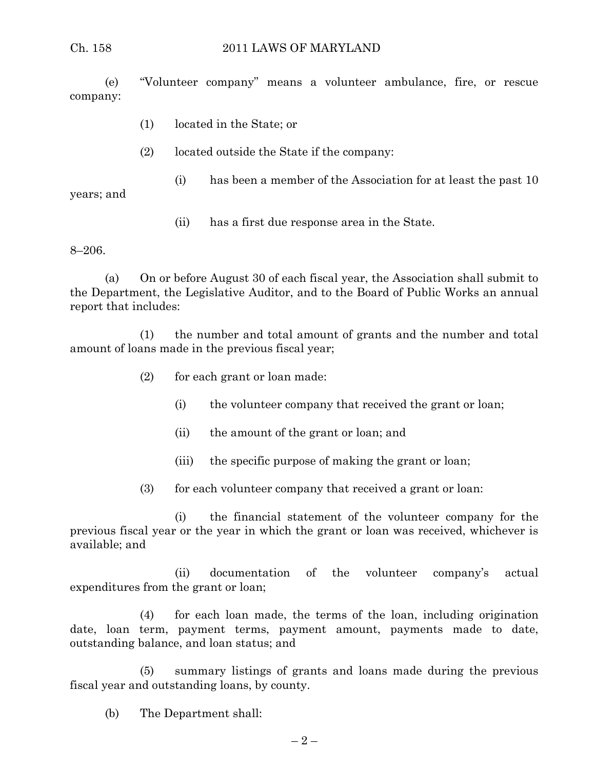(e) "Volunteer company" means a volunteer ambulance, fire, or rescue company:

- (1) located in the State; or
- (2) located outside the State if the company:
	- (i) has been a member of the Association for at least the past 10

years; and

(ii) has a first due response area in the State.

8–206.

(a) On or before August 30 of each fiscal year, the Association shall submit to the Department, the Legislative Auditor, and to the Board of Public Works an annual report that includes:

(1) the number and total amount of grants and the number and total amount of loans made in the previous fiscal year;

- (2) for each grant or loan made:
	- (i) the volunteer company that received the grant or loan;
	- (ii) the amount of the grant or loan; and
	- (iii) the specific purpose of making the grant or loan;
- (3) for each volunteer company that received a grant or loan:

(i) the financial statement of the volunteer company for the previous fiscal year or the year in which the grant or loan was received, whichever is available; and

(ii) documentation of the volunteer company's actual expenditures from the grant or loan;

(4) for each loan made, the terms of the loan, including origination date, loan term, payment terms, payment amount, payments made to date, outstanding balance, and loan status; and

(5) summary listings of grants and loans made during the previous fiscal year and outstanding loans, by county.

(b) The Department shall: